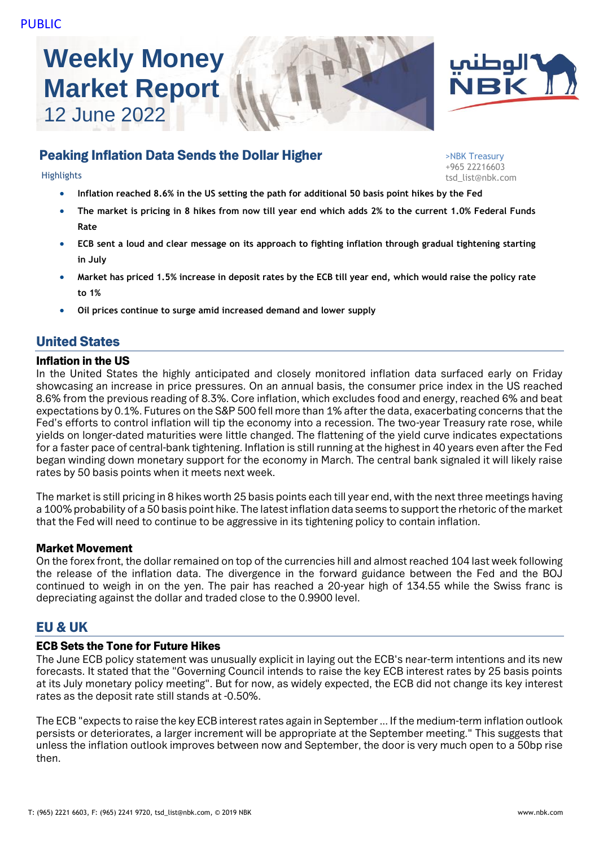# **Weekly Money Market Report** 12 June 2022





# Peaking Inflation Data Sends the Dollar Higher

>NBK Treasury +965 22216603 Highlights tsd\_list@nbk.com

- **Inflation reached 8.6% in the US setting the path for additional 50 basis point hikes by the Fed**
- **The market is pricing in 8 hikes from now till year end which adds 2% to the current 1.0% Federal Funds Rate**
- **ECB sent a loud and clear message on its approach to fighting inflation through gradual tightening starting in July**
- **Market has priced 1.5% increase in deposit rates by the ECB till year end, which would raise the policy rate to 1%**
- **Oil prices continue to surge amid increased demand and lower supply**

# United States

#### Inflation in the US

In the United States the highly anticipated and closely monitored inflation data surfaced early on Friday showcasing an increase in price pressures. On an annual basis, the consumer price index in the US reached 8.6% from the previous reading of 8.3%. Core inflation, which excludes food and energy, reached 6% and beat expectations by 0.1%. Futures on the S&P 500 fell more than 1% after the data, exacerbating concerns that the Fed's efforts to control inflation will tip the economy into a recession. The two-year Treasury rate rose, while yields on longer-dated maturities were little changed. The flattening of the yield curve indicates expectations for a faster pace of central-bank tightening. Inflation is still running at the highest in 40 years even after the Fed began winding down monetary support for the economy in March. The central bank signaled it will likely raise rates by 50 basis points when it meets next week.

The market is still pricing in 8 hikes worth 25 basis points each till year end, with the next three meetings having a 100% probability of a 50 basis point hike. The latest inflation data seems to support the rhetoric of the market that the Fed will need to continue to be aggressive in its tightening policy to contain inflation.

#### Market Movement

On the forex front, the dollar remained on top of the currencies hill and almost reached 104 last week following the release of the inflation data. The divergence in the forward guidance between the Fed and the BOJ continued to weigh in on the yen. The pair has reached a 20-year high of 134.55 while the Swiss franc is depreciating against the dollar and traded close to the 0.9900 level.

# EU & UK

#### ECB Sets the Tone for Future Hikes

The June ECB policy statement was unusually explicit in laying out the ECB's near-term intentions and its new forecasts. It stated that the "Governing Council intends to raise the key ECB interest rates by 25 basis points at its July monetary policy meeting". But for now, as widely expected, the ECB did not change its key interest rates as the deposit rate still stands at -0.50%.

The ECB "expects to raise the key ECB interest rates again in September ... If the medium-term inflation outlook persists or deteriorates, a larger increment will be appropriate at the September meeting." This suggests that unless the inflation outlook improves between now and September, the door is very much open to a 50bp rise then.